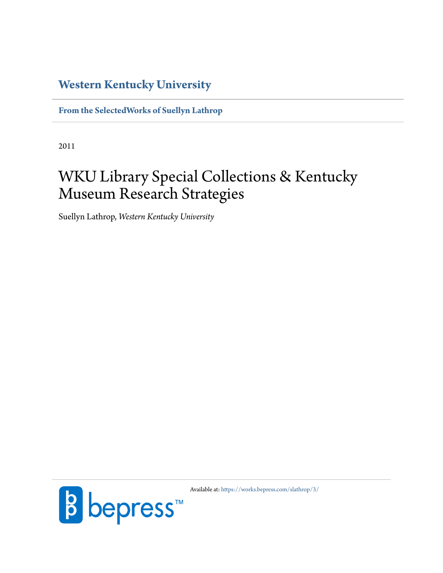## **[Western Kentucky University](http://www.wku.edu)**

**[From the SelectedWorks of Suellyn Lathrop](https://works.bepress.com/slathrop/)**

2011

# WKU Library Special Collections & Kentucky Museum Research Strategies

Suellyn Lathrop, *Western Kentucky University*



Available at: <https://works.bepress.com/slathrop/3/>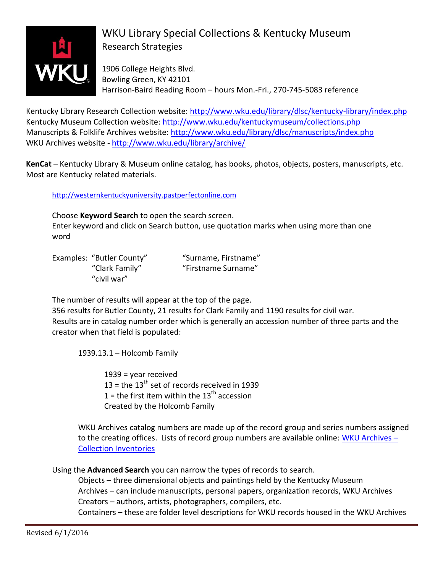

## WKU Library Special Collections & Kentucky Museum Research Strategies

1906 College Heights Blvd. Bowling Green, KY 42101 Harrison-Baird Reading Room – hours Mon.-Fri., 270-745-5083 reference

Kentucky Library Research Collection website:<http://www.wku.edu/library/dlsc/kentucky-library/index.php> Kentucky Museum Collection website:<http://www.wku.edu/kentuckymuseum/collections.php> Manuscripts & Folklife Archives website:<http://www.wku.edu/library/dlsc/manuscripts/index.php> WKU Archives website - <http://www.wku.edu/library/archive/>

**KenCat** – Kentucky Library & Museum online catalog, has books, photos, objects, posters, manuscripts, etc. Most are Kentucky related materials.

[http://westernkentuckyuniversity.pastperfectonline.com](http://westernkentuckyuniversity.pastperfectonline.com/)

Choose **Keyword Search** to open the search screen.

Enter keyword and click on Search button, use quotation marks when using more than one word

Examples: "Butler County" "Surname, Firstname" "civil war"

"Clark Family" "Firstname Surname"

The number of results will appear at the top of the page.

356 results for Butler County, 21 results for Clark Family and 1190 results for civil war. Results are in catalog number order which is generally an accession number of three parts and the creator when that field is populated:

1939.13.1 – Holcomb Family

1939 = year received 13 = the  $13<sup>th</sup>$  set of records received in 1939 1 = the first item within the  $13<sup>th</sup>$  accession Created by the Holcomb Family

WKU Archives catalog numbers are made up of the record group and series numbers assigned to the creating offices. Lists of record group numbers are available online: [WKU Archives](http://www.wku.edu/library/archive/rg.php) -[Collection Inventories](http://www.wku.edu/library/archive/rg.php)

Using the **Advanced Search** you can narrow the types of records to search.

Objects – three dimensional objects and paintings held by the Kentucky Museum Archives – can include manuscripts, personal papers, organization records, WKU Archives Creators – authors, artists, photographers, compilers, etc.

Containers – these are folder level descriptions for WKU records housed in the WKU Archives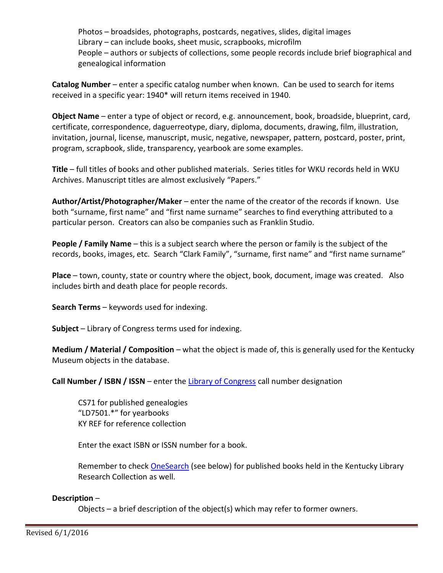Photos – broadsides, photographs, postcards, negatives, slides, digital images Library – can include books, sheet music, scrapbooks, microfilm People – authors or subjects of collections, some people records include brief biographical and genealogical information

**Catalog Number** – enter a specific catalog number when known. Can be used to search for items received in a specific year: 1940\* will return items received in 1940.

**Object Name** – enter a type of object or record, e.g. announcement, book, broadside, blueprint, card, certificate, correspondence, daguerreotype, diary, diploma, documents, drawing, film, illustration, invitation, journal, license, manuscript, music, negative, newspaper, pattern, postcard, poster, print, program, scrapbook, slide, transparency, yearbook are some examples.

**Title** – full titles of books and other published materials. Series titles for WKU records held in WKU Archives. Manuscript titles are almost exclusively "Papers."

**Author/Artist/Photographer/Maker** – enter the name of the creator of the records if known. Use both "surname, first name" and "first name surname" searches to find everything attributed to a particular person. Creators can also be companies such as Franklin Studio.

**People / Family Name** – this is a subject search where the person or family is the subject of the records, books, images, etc. Search "Clark Family", "surname, first name" and "first name surname"

**Place** – town, county, state or country where the object, book, document, image was created. Also includes birth and death place for people records.

**Search Terms** – keywords used for indexing.

**Subject** – Library of Congress terms used for indexing.

**Medium / Material / Composition** – what the object is made of, this is generally used for the Kentucky Museum objects in the database.

**Call Number / ISBN / ISSN** – enter the [Library of Congress](https://www.loc.gov/catdir/cpso/lcco/) call number designation

CS71 for published genealogies "LD7501.\*" for yearbooks KY REF for reference collection

Enter the exact ISBN or ISSN number for a book.

Remember to check [OneSearch](http://saa-primo.hosted.exlibrisgroup.com/primo_library/libweb/action/dlSearch.do?institution=WESTKY&vid=WESTKY&search_scope=default_scope&mode=Basic&displayMode=full&bulkSize=20&highlight=true&dum=true&query=any%2Ccontains%2C&displayField=all&pcAvailabiltyMode=false) (see below) for published books held in the Kentucky Library Research Collection as well.

### **Description** –

Objects – a brief description of the object(s) which may refer to former owners.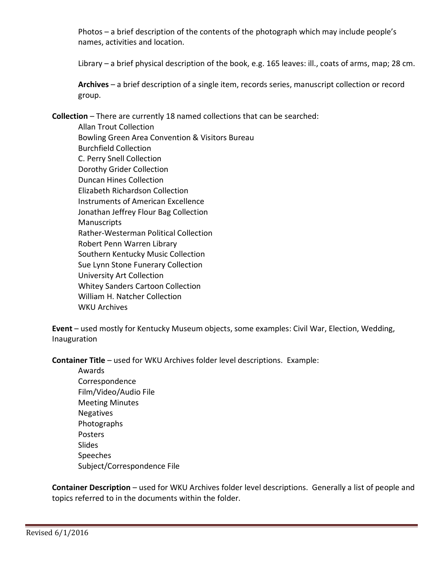Photos – a brief description of the contents of the photograph which may include people's names, activities and location.

Library – a brief physical description of the book, e.g. 165 leaves: ill., coats of arms, map; 28 cm.

**Archives** – a brief description of a single item, records series, manuscript collection or record group.

**Collection** – There are currently 18 named collections that can be searched:

Allan Trout Collection Bowling Green Area Convention & Visitors Bureau Burchfield Collection C. Perry Snell Collection Dorothy Grider Collection Duncan Hines Collection Elizabeth Richardson Collection Instruments of American Excellence Jonathan Jeffrey Flour Bag Collection **Manuscripts** Rather-Westerman Political Collection Robert Penn Warren Library Southern Kentucky Music Collection Sue Lynn Stone Funerary Collection University Art Collection Whitey Sanders Cartoon Collection William H. Natcher Collection WKU Archives

**Event** – used mostly for Kentucky Museum objects, some examples: Civil War, Election, Wedding, Inauguration

**Container Title** – used for WKU Archives folder level descriptions. Example:

Awards Correspondence Film/Video/Audio File Meeting Minutes Negatives Photographs Posters Slides Speeches Subject/Correspondence File

**Container Description** – used for WKU Archives folder level descriptions. Generally a list of people and topics referred to in the documents within the folder.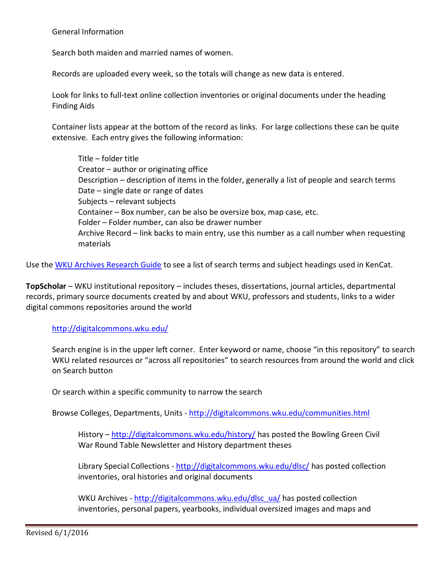General Information

Search both maiden and married names of women.

Records are uploaded every week, so the totals will change as new data is entered.

Look for links to full-text online collection inventories or original documents under the heading Finding Aids

Container lists appear at the bottom of the record as links. For large collections these can be quite extensive. Each entry gives the following information:

Title – folder title Creator – author or originating office Description – description of items in the folder, generally a list of people and search terms Date – single date or range of dates Subjects – relevant subjects Container – Box number, can be also be oversize box, map case, etc. Folder – Folder number, can also be drawer number Archive Record – link backs to main entry, use this number as a call number when requesting materials

Use the [WKU Archives Research Guide](http://libguides.wku.edu/c.php?g=271584) to see a list of search terms and subject headings used in KenCat.

**TopScholar** – WKU institutional repository – includes theses, dissertations, journal articles, departmental records, primary source documents created by and about WKU, professors and students, links to a wider digital commons repositories around the world

<http://digitalcommons.wku.edu/>

Search engine is in the upper left corner. Enter keyword or name, choose "in this repository" to search WKU related resources or "across all repositories" to search resources from around the world and click on Search button

Or search within a specific community to narrow the search

Browse Colleges, Departments, Units - <http://digitalcommons.wku.edu/communities.html>

History – <http://digitalcommons.wku.edu/history/> has posted the Bowling Green Civil War Round Table Newsletter and History department theses

Library Special Collections - <http://digitalcommons.wku.edu/dlsc/> has posted collection inventories, oral histories and original documents

WKU Archives - [http://digitalcommons.wku.edu/dlsc\\_ua/](http://digitalcommons.wku.edu/dlsc_ua/) has posted collection inventories, personal papers, yearbooks, individual oversized images and maps and